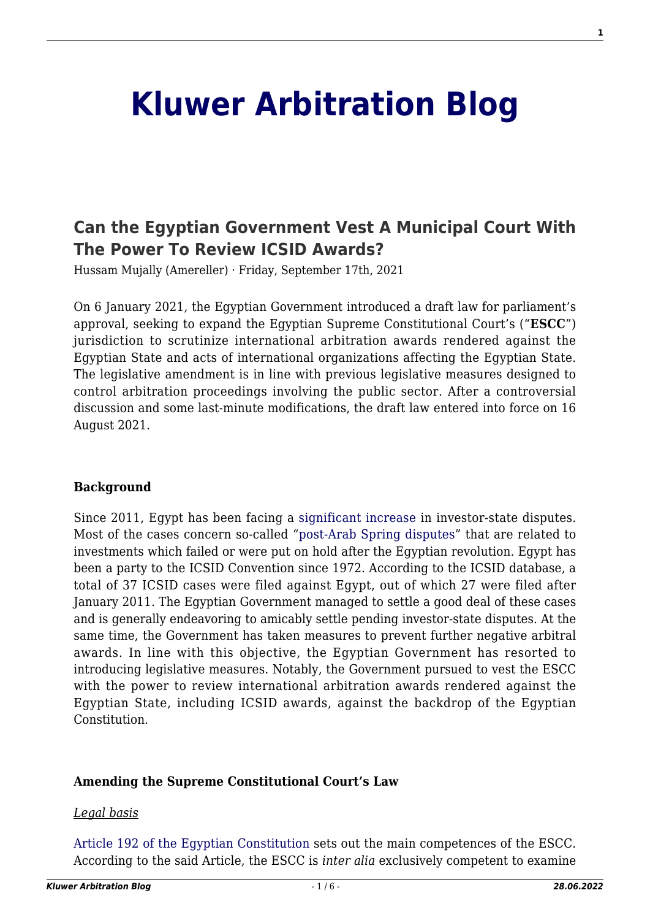# **[Kluwer Arbitration Blog](http://arbitrationblog.kluwerarbitration.com/)**

# **[Can the Egyptian Government Vest A Municipal Court With](http://arbitrationblog.kluwerarbitration.com/2021/09/17/can-the-egyptian-government-vest-a-municipal-court-with-the-power-to-review-icsid-awards/) [The Power To Review ICSID Awards?](http://arbitrationblog.kluwerarbitration.com/2021/09/17/can-the-egyptian-government-vest-a-municipal-court-with-the-power-to-review-icsid-awards/)**

Hussam Mujally (Amereller) · Friday, September 17th, 2021

On 6 January 2021, the Egyptian Government introduced a draft law for parliament's approval, seeking to expand the Egyptian Supreme Constitutional Court's ("**ESCC**") jurisdiction to scrutinize international arbitration awards rendered against the Egyptian State and acts of international organizations affecting the Egyptian State. The legislative amendment is in line with previous legislative measures designed to control arbitration proceedings involving the public sector. After a controversial discussion and some last-minute modifications, the draft law entered into force on 16 August 2021.

#### **Background**

Since 2011, Egypt has been facing a [significant increase](http://arbitrationblog.kluwerarbitration.com/2020/03/15/after-48-years-at-icsid-1972-2020-an-overview-of-the-status-of-egypt-in-icsid-arbitrations/) in investor-state disputes. Most of the cases concern so-called "[post-Arab Spring disputes"](http://arbitrationblog.kluwerarbitration.com/2020/01/22/2019-in-review-a-view-from-north-africa/) that are related to investments which failed or were put on hold after the Egyptian revolution. Egypt has been a party to the ICSID Convention since 1972. According to the ICSID database, a total of 37 ICSID cases were filed against Egypt, out of which 27 were filed after January 2011. The Egyptian Government managed to settle a good deal of these cases and is generally endeavoring to amicably settle pending investor-state disputes. At the same time, the Government has taken measures to prevent further negative arbitral awards. In line with this objective, the Egyptian Government has resorted to introducing legislative measures. Notably, the Government pursued to vest the ESCC with the power to review international arbitration awards rendered against the Egyptian State, including ICSID awards, against the backdrop of the Egyptian Constitution.

#### **Amending the Supreme Constitutional Court's Law**

#### *Legal basis*

[Article 192 of the Egyptian Constitution](https://manshurat.org/node/14675) sets out the main competences of the ESCC. According to the said Article, the ESCC is *inter alia* exclusively competent to examine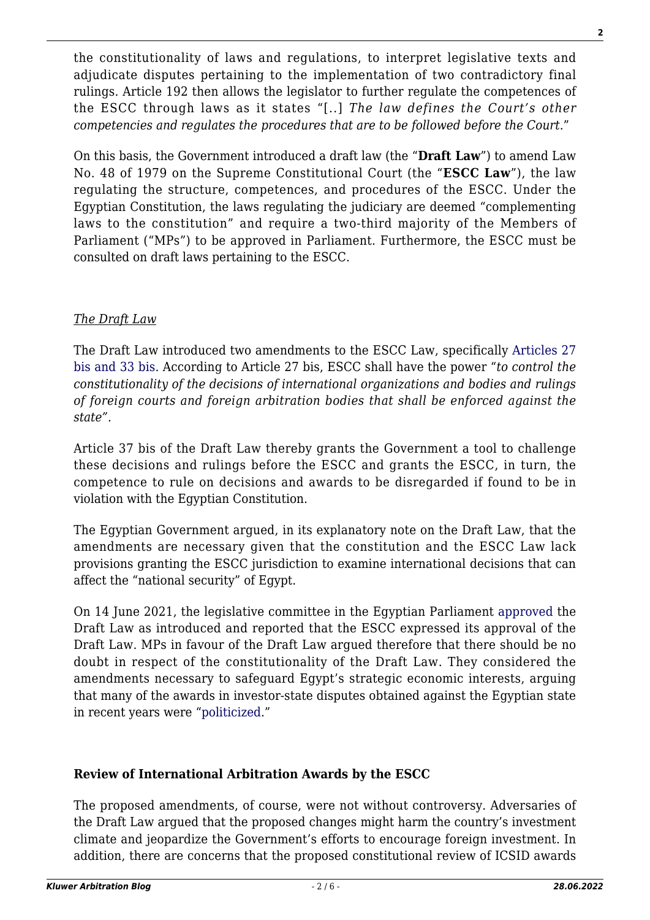the constitutionality of laws and regulations, to interpret legislative texts and adjudicate disputes pertaining to the implementation of two contradictory final rulings. Article 192 then allows the legislator to further regulate the competences of the ESCC through laws as it states "[..] *The law defines the Court's other competencies and regulates the procedures that are to be followed before the Court*."

On this basis, the Government introduced a draft law (the "**Draft Law**") to amend Law No. 48 of 1979 on the Supreme Constitutional Court (the "**ESCC Law**"), the law regulating the structure, competences, and procedures of the ESCC. Under the Egyptian Constitution, the laws regulating the judiciary are deemed "complementing laws to the constitution" and require a two-third majority of the Members of Parliament ("MPs") to be approved in Parliament. Furthermore, the ESCC must be consulted on draft laws pertaining to the ESCC.

# *The Draft Law*

The Draft Law introduced two amendments to the ESCC Law, specifically [Articles 27](https://manshurat.org/file/84870/download?token=bzkFO5iO) [bis and 33 bis](https://manshurat.org/file/84870/download?token=bzkFO5iO). According to Article 27 bis, ESCC shall have the power "*to control the constitutionality of the decisions of international organizations and bodies and rulings of foreign courts and foreign arbitration bodies that shall be enforced against the state".*

Article 37 bis of the Draft Law thereby grants the Government a tool to challenge these decisions and rulings before the ESCC and grants the ESCC, in turn, the competence to rule on decisions and awards to be disregarded if found to be in violation with the Egyptian Constitution.

The Egyptian Government argued, in its explanatory note on the Draft Law, that the amendments are necessary given that the constitution and the ESCC Law lack provisions granting the ESCC jurisdiction to examine international decisions that can affect the "national security" of Egypt.

On 14 June 2021, the legislative committee in the Egyptian Parliament [approved](https://alwafd.news/printing/3791399) the Draft Law as introduced and reported that the ESCC expressed its approval of the Draft Law. MPs in favour of the Draft Law argued therefore that there should be no doubt in respect of the constitutionality of the Draft Law. They considered the amendments necessary to safeguard Egypt's strategic economic interests, arguing that many of the awards in investor-state disputes obtained against the Egyptian state in recent years were "[politicized](https://english.ahram.org.eg/News/414849.aspx)."

# **Review of International Arbitration Awards by the ESCC**

The proposed amendments, of course, were not without controversy. Adversaries of the Draft Law argued that the proposed changes might harm the country's investment climate and jeopardize the Government's efforts to encourage foreign investment. In addition, there are concerns that the proposed constitutional review of ICSID awards

**2**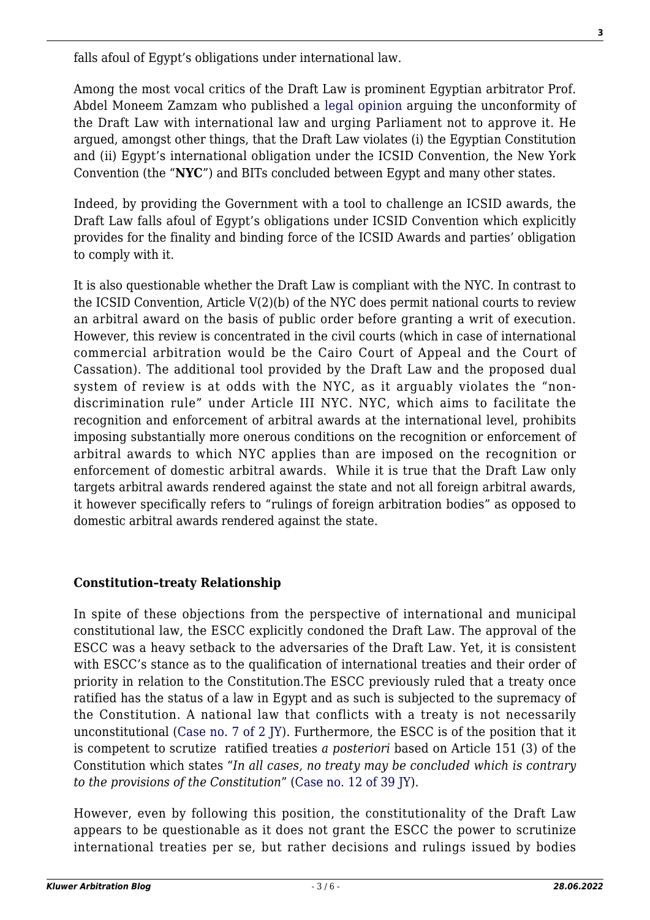falls afoul of Egypt's obligations under international law.

Among the most vocal critics of the Draft Law is prominent Egyptian arbitrator Prof. Abdel Moneem Zamzam who published a [legal opinion](https://www.linkedin.com/posts/abdel-moneem-zamzam-49090456_%D8%AA%D8%B9%D9%84%D9%8A%D9%82%D9%89-%D8%B9%D9%84%D9%89-%D9%85%D8%B4%D8%B1%D9%88%D8%B9-%D9%82%D8%A7%D9%86%D9%88%D9%86-%D8%AA%D9%88%D8%B3%D9%8A%D8%B9-%D8%A7%D8%AE%D8%AA%D8%B5%D8%A7%D8%B5%D8%A7%D8%AA-%D8%A7%D9%84%D9%85%D8%AD%D9%83%D9%85%D8%A9-activity-6809465634573828096--hRw/) arguing the unconformity of the Draft Law with international law and urging Parliament not to approve it. He argued, amongst other things, that the Draft Law violates (i) the Egyptian Constitution and (ii) Egypt's international obligation under the ICSID Convention, the New York Convention (the "**NYC**") and BITs concluded between Egypt and many other states.

Indeed, by providing the Government with a tool to challenge an ICSID awards, the Draft Law falls afoul of Egypt's obligations under ICSID Convention which explicitly provides for the finality and binding force of the ICSID Awards and parties' obligation to comply with it.

It is also questionable whether the Draft Law is compliant with the NYC. In contrast to the ICSID Convention, Article V(2)(b) of the NYC does permit national courts to review an arbitral award on the basis of public order before granting a writ of execution. However, this review is concentrated in the civil courts (which in case of international commercial arbitration would be the Cairo Court of Appeal and the Court of Cassation). The additional tool provided by the Draft Law and the proposed dual system of review is at odds with the NYC, as it arguably violates the "nondiscrimination rule" under Article III NYC. NYC, which aims to facilitate the recognition and enforcement of arbitral awards at the international level, prohibits imposing substantially more onerous conditions on the recognition or enforcement of arbitral awards to which NYC applies than are imposed on the recognition or enforcement of domestic arbitral awards. While it is true that the Draft Law only targets arbitral awards rendered against the state and not all foreign arbitral awards, it however specifically refers to "rulings of foreign arbitration bodies" as opposed to domestic arbitral awards rendered against the state.

# **Constitution–treaty Relationship**

In spite of these objections from the perspective of international and municipal constitutional law, the ESCC explicitly condoned the Draft Law. The approval of the ESCC was a heavy setback to the adversaries of the Draft Law. Yet, it is consistent with ESCC's stance as to the qualification of international treaties and their order of priority in relation to the Constitution.The ESCC previously ruled that a treaty once ratified has the status of a law in Egypt and as such is subjected to the supremacy of the Constitution. A national law that conflicts with a treaty is not necessarily unconstitutional ([Case no. 7 of 2 JY](http://hrlibrary.umn.edu/arabic/Egypt-SCC-SC/Egypt-SC2-Y7.html)). Furthermore, the ESCC is of the position that it is competent to scrutize ratified treaties *a posteriori* based on Article 151 (3) of the Constitution which states "*In all cases, no treaty may be concluded which is contrary to the provisions of the Constitution*" [\(Case no. 12 of 39 JY](http://www.sccourt.gov.eg/SCC/faces/RuleViewer.jspx)).

However, even by following this position, the constitutionality of the Draft Law appears to be questionable as it does not grant the ESCC the power to scrutinize international treaties per se, but rather decisions and rulings issued by bodies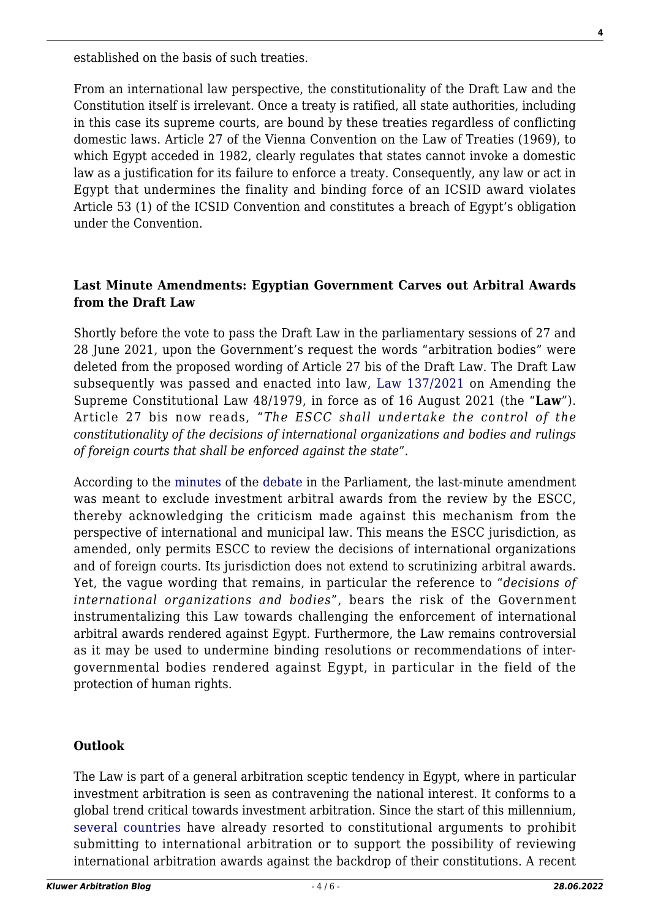established on the basis of such treaties.

From an international law perspective, the constitutionality of the Draft Law and the Constitution itself is irrelevant. Once a treaty is ratified, all state authorities, including in this case its supreme courts, are bound by these treaties regardless of conflicting domestic laws. Article 27 of the Vienna Convention on the Law of Treaties (1969), to which Egypt acceded in 1982, clearly regulates that states cannot invoke a domestic law as a justification for its failure to enforce a treaty. Consequently, any law or act in Egypt that undermines the finality and binding force of an ICSID award violates Article 53 (1) of the ICSID Convention and constitutes a breach of Egypt's obligation under the Convention.

#### **Last Minute Amendments: Egyptian Government Carves out Arbitral Awards from the Draft Law**

Shortly before the vote to pass the Draft Law in the parliamentary sessions of 27 and 28 June 2021, upon the Government's request the words "arbitration bodies" were deleted from the proposed wording of Article 27 bis of the Draft Law. The Draft Law subsequently was passed and enacted into law, [Law 137/2021](https://manshurat.org/node/73390) on Amending the Supreme Constitutional Law 48/1979, in force as of 16 August 2021 (the "**Law**"). Article 27 bis now reads, "*The ESCC shall undertake the control of the constitutionality of the decisions of international organizations and bodies and rulings of foreign courts that shall be enforced against the state*".

According to the [minutes](https://www.youtube.com/watch?v=1f1uyCe8-QM&ab_channel=%D9%82%D9%86%D8%A7%D8%A9%D8%A7%D9%84%D8%A8%D8%B1%D9%84%D9%85%D8%A7%D9%86%D8%A7%D9%84%D9%85%D8%B5%D8%B1%D9%89-%D8%A7%D9%84%D8%B1%D8%B3%D9%85%D9%8A%D8%A9) of the [debate](https://www.almasryalyoum.com/news/details/2363013) in the Parliament, the last-minute amendment was meant to exclude investment arbitral awards from the review by the ESCC, thereby acknowledging the criticism made against this mechanism from the perspective of international and municipal law. This means the ESCC jurisdiction, as amended, only permits ESCC to review the decisions of international organizations and of foreign courts. Its jurisdiction does not extend to scrutinizing arbitral awards. Yet, the vague wording that remains, in particular the reference to "*decisions of international organizations and bodies*", bears the risk of the Government instrumentalizing this Law towards challenging the enforcement of international arbitral awards rendered against Egypt. Furthermore, the Law remains controversial as it may be used to undermine binding resolutions or recommendations of intergovernmental bodies rendered against Egypt, in particular in the field of the protection of human rights.

# **Outlook**

The Law is part of a general arbitration sceptic tendency in Egypt, where in particular investment arbitration is seen as contravening the national interest. It conforms to a global trend critical towards investment arbitration. Since the start of this millennium, [several countries](https://core.ac.uk/download/pdf/147642325.pdf) have already resorted to constitutional arguments to prohibit submitting to international arbitration or to support the possibility of reviewing international arbitration awards against the backdrop of their constitutions. A recent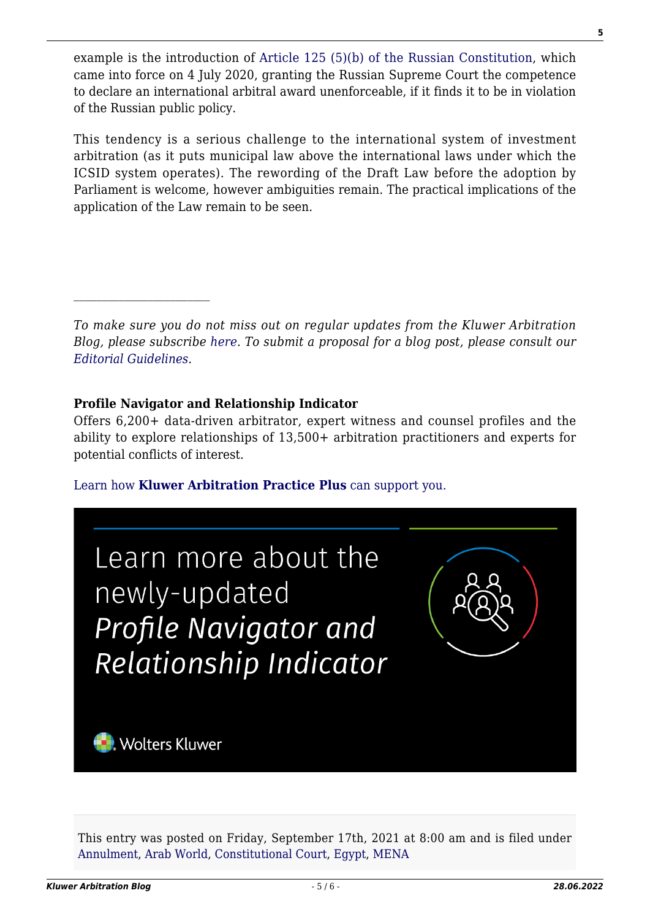example is the introduction of [Article 125 \(5\)\(b\) of the Russian Constitution,](https://rm.coe.int/constitution-of-the-russian-federation-en/1680a1a237) which came into force on 4 July 2020, granting the Russian Supreme Court the competence to declare an international arbitral award unenforceable, if it finds it to be in violation of the Russian public policy.

This tendency is a serious challenge to the international system of investment arbitration (as it puts municipal law above the international laws under which the ICSID system operates). The rewording of the Draft Law before the adoption by Parliament is welcome, however ambiguities remain. The practical implications of the application of the Law remain to be seen.

*To make sure you do not miss out on regular updates from the Kluwer Arbitration Blog, please subscribe [here](http://arbitrationblog.kluwerarbitration.com/newsletter/). To submit a proposal for a blog post, please consult our [Editorial Guidelines.](http://arbitrationblog.kluwerarbitration.com/editorial-guidelines/)*

#### **Profile Navigator and Relationship Indicator**

Offers 6,200+ data-driven arbitrator, expert witness and counsel profiles and the ability to explore relationships of 13,500+ arbitration practitioners and experts for potential conflicts of interest.

[Learn how](https://www.wolterskluwer.com/en/solutions/kluwerarbitration/practiceplus?utm_source=arbitrationblog&utm_medium=articleCTA&utm_campaign=article-banner) **[Kluwer Arbitration Practice Plus](https://www.wolterskluwer.com/en/solutions/kluwerarbitration/practiceplus?utm_source=arbitrationblog&utm_medium=articleCTA&utm_campaign=article-banner)** [can support you.](https://www.wolterskluwer.com/en/solutions/kluwerarbitration/practiceplus?utm_source=arbitrationblog&utm_medium=articleCTA&utm_campaign=article-banner)



This entry was posted on Friday, September 17th, 2021 at 8:00 am and is filed under [Annulment,](http://arbitrationblog.kluwerarbitration.com/category/annulment/) [Arab World](http://arbitrationblog.kluwerarbitration.com/category/arab-world/), [Constitutional Court,](http://arbitrationblog.kluwerarbitration.com/category/constitutional-court/) [Egypt](http://arbitrationblog.kluwerarbitration.com/category/egypt/), [MENA](http://arbitrationblog.kluwerarbitration.com/category/mena/)